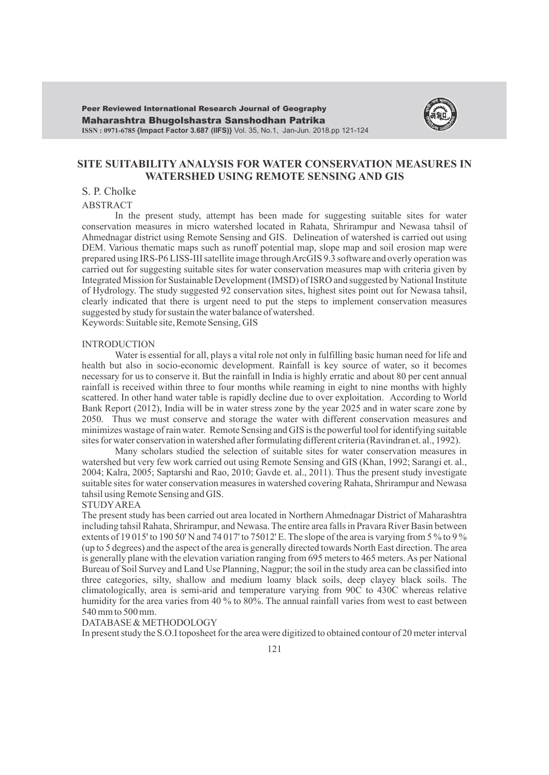

## **SITE SUITABILITY ANALYSIS FOR WATER CONSERVATION MEASURES IN WATERSHED USING REMOTE SENSING AND GIS**

# S. P. Cholke

ABSTRACT

In the present study, attempt has been made for suggesting suitable sites for water conservation measures in micro watershed located in Rahata, Shrirampur and Newasa tahsil of Ahmednagar district using Remote Sensing and GIS. Delineation of watershed is carried out using DEM. Various thematic maps such as runoff potential map, slope map and soil erosion map were prepared using IRS-P6 LISS-III satellite image through ArcGIS 9.3 software and overly operation was carried out for suggesting suitable sites for water conservation measures map with criteria given by Integrated Mission for Sustainable Development (IMSD) of ISRO and suggested by National Institute of Hydrology. The study suggested 92 conservation sites, highest sites point out for Newasa tahsil, clearly indicated that there is urgent need to put the steps to implement conservation measures suggested by study for sustain the water balance of watershed.

Keywords: Suitable site, Remote Sensing, GIS

#### INTRODUCTION

Water is essential for all, plays a vital role not only in fulfilling basic human need for life and health but also in socio-economic development. Rainfall is key source of water, so it becomes necessary for us to conserve it. But the rainfall in India is highly erratic and about 80 per cent annual rainfall is received within three to four months while reaming in eight to nine months with highly scattered. In other hand water table is rapidly decline due to over exploitation. According to World Bank Report (2012), India will be in water stress zone by the year 2025 and in water scare zone by 2050. Thus we must conserve and storage the water with different conservation measures and minimizes wastage of rain water. Remote Sensing and GIS is the powerful tool for identifying suitable sites for water conservation in watershed after formulating different criteria (Ravindran et. al., 1992).

Many scholars studied the selection of suitable sites for water conservation measures in watershed but very few work carried out using Remote Sensing and GIS (Khan, 1992; Sarangi et. al., 2004; Kalra, 2005; Saptarshi and Rao, 2010; Gavde et. al., 2011). Thus the present study investigate suitable sites for water conservation measures in watershed covering Rahata, Shrirampur and Newasa tahsil using Remote Sensing and GIS.

## STUDYAREA

The present study has been carried out area located in Northern Ahmednagar District of Maharashtra including tahsil Rahata, Shrirampur, and Newasa. The entire area falls in Pravara River Basin between extents of 19 015' to 190 50' N and 74 017' to 75012' E. The slope of the area is varying from 5 % to 9 % (up to 5 degrees) and the aspect of the area is generally directed towards North East direction. The area is generally plane with the elevation variation ranging from 695 meters to 465 meters. As per National Bureau of Soil Survey and Land Use Planning, Nagpur; the soil in the study area can be classified into three categories, silty, shallow and medium loamy black soils, deep clayey black soils. The climatologically, area is semi-arid and temperature varying from 90C to 430C whereas relative humidity for the area varies from 40 % to 80%. The annual rainfall varies from west to east between 540 mm to 500 mm.

#### DATABASE & METHODOLOGY

In present study the S.O.I toposheet for the area were digitized to obtained contour of 20 meter interval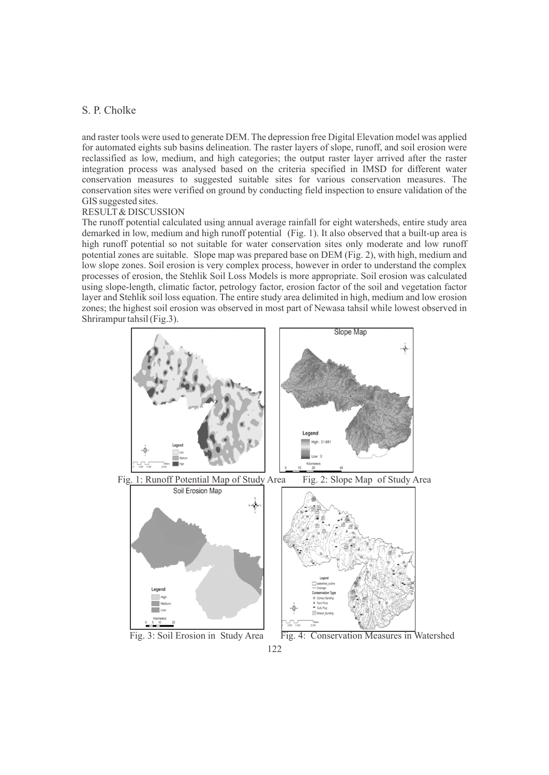# S. P. Cholke

and raster tools were used to generate DEM. The depression free Digital Elevation model was applied for automated eights sub basins delineation. The raster layers of slope, runoff, and soil erosion were reclassified as low, medium, and high categories; the output raster layer arrived after the raster integration process was analysed based on the criteria specified in IMSD for different water conservation measures to suggested suitable sites for various conservation measures. The conservation sites were verified on ground by conducting field inspection to ensure validation of the GIS suggested sites.

## RESULT& DISCUSSION

The runoff potential calculated using annual average rainfall for eight watersheds, entire study area demarked in low, medium and high runoff potential (Fig. 1). It also observed that a built-up area is high runoff potential so not suitable for water conservation sites only moderate and low runoff potential zones are suitable. Slope map was prepared base on DEM (Fig. 2), with high, medium and low slope zones. Soil erosion is very complex process, however in order to understand the complex processes of erosion, the Stehlik Soil Loss Models is more appropriate. Soil erosion was calculated using slope-length, climatic factor, petrology factor, erosion factor of the soil and vegetation factor layer and Stehlik soil loss equation. The entire study area delimited in high, medium and low erosion zones; the highest soil erosion was observed in most part of Newasa tahsil while lowest observed in Shrirampur tahsil (Fig.3).

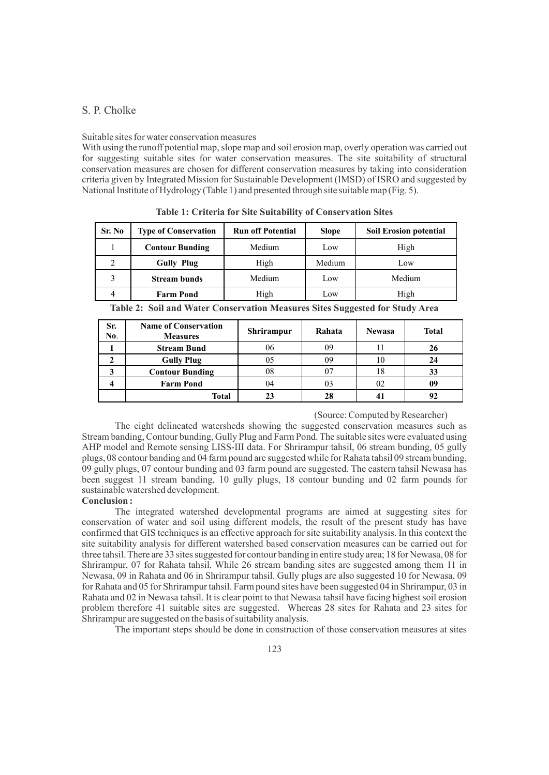## S. P. Cholke

#### Suitable sites for water conservation measures

With using the runoff potential map, slope map and soil erosion map, overly operation was carried out for suggesting suitable sites for water conservation measures. The site suitability of structural conservation measures are chosen for different conservation measures by taking into consideration criteria given by Integrated Mission for Sustainable Development (IMSD) of ISRO and suggested by National Institute of Hydrology (Table 1) and presented through site suitable map (Fig. 5).

| Sr. No        | <b>Type of Conservation</b>              | <b>Run off Potential</b>    | <b>Slope</b> | <b>Soil Erosion potential</b>           |  |
|---------------|------------------------------------------|-----------------------------|--------------|-----------------------------------------|--|
|               | <b>Contour Bunding</b>                   | Medium                      | Low          | High                                    |  |
|               | <b>Gully Plug</b>                        | High                        | Medium       | Low                                     |  |
|               | <b>Stream bunds</b>                      | Medium                      | Low          | Medium                                  |  |
|               | <b>Farm Pond</b>                         | High                        | Low          | High                                    |  |
| <b>PRIMER</b> | $\sim$ $\cdot$<br>$\mathbf{r}$<br>$\sim$ | $\blacksquare$<br>$\cdot$ . | $\sim \sim$  | $\lambda$ <b>10</b> $\alpha$ <b>1 1</b> |  |

**Table 1: Criteria for Site Suitability of Conservation Sites**

**Table 2: Soil and Water Conservation Measures Sites Suggested for Study Area**

| Sr.<br>No. | <b>Name of Conservation</b><br><b>Measures</b> | <b>Shrirampur</b> | Rahata | <b>Newasa</b> | <b>Total</b> |
|------------|------------------------------------------------|-------------------|--------|---------------|--------------|
|            | <b>Stream Bund</b>                             | 06                | 09     |               | 26           |
|            | <b>Gully Plug</b>                              | 05                | 09     | 10            | 24           |
|            | <b>Contour Bunding</b>                         | 08                |        | 18            | 33           |
|            | <b>Farm Pond</b>                               | 04                | 03     | 02            | 09           |
|            | Total                                          | 23                | 28     |               | 92           |

#### (Source: Computed by Researcher)

The eight delineated watersheds showing the suggested conservation measures such as Stream banding, Contour bunding, Gully Plug and Farm Pond. The suitable sites were evaluated using AHP model and Remote sensing LISS-III data. For Shrirampur tahsil, 06 stream bunding, 05 gully plugs, 08 contour banding and 04 farm pound are suggested while for Rahata tahsil 09 stream bunding, 09 gully plugs, 07 contour bunding and 03 farm pound are suggested. The eastern tahsil Newasa has been suggest 11 stream banding, 10 gully plugs, 18 contour bunding and 02 farm pounds for sustainable watershed development.

## **Conclusion :**

The integrated watershed developmental programs are aimed at suggesting sites for conservation of water and soil using different models, the result of the present study has have confirmed that GIS techniques is an effective approach for site suitability analysis. In this context the site suitability analysis for different watershed based conservation measures can be carried out for three tahsil. There are 33 sites suggested for contour banding in entire study area; 18 for Newasa, 08 for Shrirampur, 07 for Rahata tahsil. While 26 stream banding sites are suggested among them 11 in Newasa, 09 in Rahata and 06 in Shrirampur tahsil. Gully plugs are also suggested 10 for Newasa, 09 for Rahata and 05 for Shrirampur tahsil. Farm pound sites have been suggested 04 in Shrirampur, 03 in Rahata and 02 in Newasa tahsil. It is clear point to that Newasa tahsil have facing highest soil erosion problem therefore 41 suitable sites are suggested. Whereas 28 sites for Rahata and 23 sites for Shrirampur are suggested on the basis of suitability analysis.

The important steps should be done in construction of those conservation measures at sites